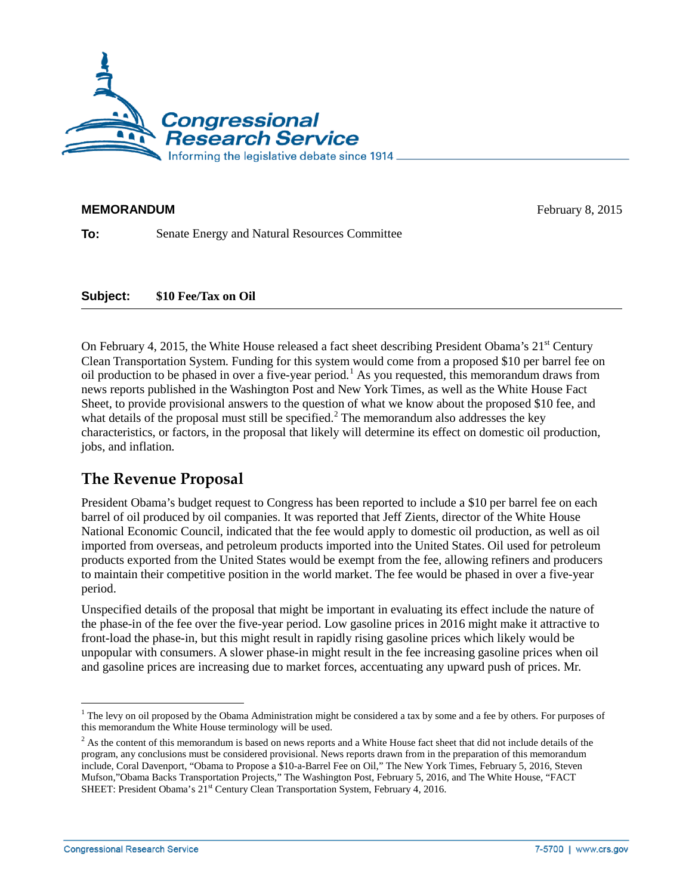

## **MEMORANDUM** February 8, 2015

**To:** Senate Energy and Natural Resources Committee

## **Subject: \$10 Fee/Tax on Oil**

On February 4, 2015, the White House released a fact sheet describing President Obama's 21<sup>st</sup> Century Clean Transportation System. Funding for this system would come from a proposed \$10 per barrel fee on oil production to be phased in over a five-year period.<sup>[1](#page-0-0)</sup> As you requested, this memorandum draws from news reports published in the Washington Post and New York Times, as well as the White House Fact Sheet, to provide provisional answers to the question of what we know about the proposed \$10 fee, and what details of the proposal must still be specified.<sup>[2](#page-0-1)</sup> The memorandum also addresses the key characteristics, or factors, in the proposal that likely will determine its effect on domestic oil production, jobs, and inflation.

## **The Revenue Proposal**

President Obama's budget request to Congress has been reported to include a \$10 per barrel fee on each barrel of oil produced by oil companies. It was reported that Jeff Zients, director of the White House National Economic Council, indicated that the fee would apply to domestic oil production, as well as oil imported from overseas, and petroleum products imported into the United States. Oil used for petroleum products exported from the United States would be exempt from the fee, allowing refiners and producers to maintain their competitive position in the world market. The fee would be phased in over a five-year period.

Unspecified details of the proposal that might be important in evaluating its effect include the nature of the phase-in of the fee over the five-year period. Low gasoline prices in 2016 might make it attractive to front-load the phase-in, but this might result in rapidly rising gasoline prices which likely would be unpopular with consumers. A slower phase-in might result in the fee increasing gasoline prices when oil and gasoline prices are increasing due to market forces, accentuating any upward push of prices. Mr.

<span id="page-0-0"></span> $<sup>1</sup>$  The levy on oil proposed by the Obama Administration might be considered a tax by some and a fee by others. For purposes of</sup> this memorandum the White House terminology will be used.

<span id="page-0-1"></span> $<sup>2</sup>$  As the content of this memorandum is based on news reports and a White House fact sheet that did not include details of the</sup> program, any conclusions must be considered provisional. News reports drawn from in the preparation of this memorandum include, Coral Davenport, "Obama to Propose a \$10-a-Barrel Fee on Oil," The New York Times, February 5, 2016, Steven Mufson,"Obama Backs Transportation Projects," The Washington Post, February 5, 2016, and The White House, "FACT SHEET: President Obama's 21<sup>st</sup> Century Clean Transportation System, February 4, 2016.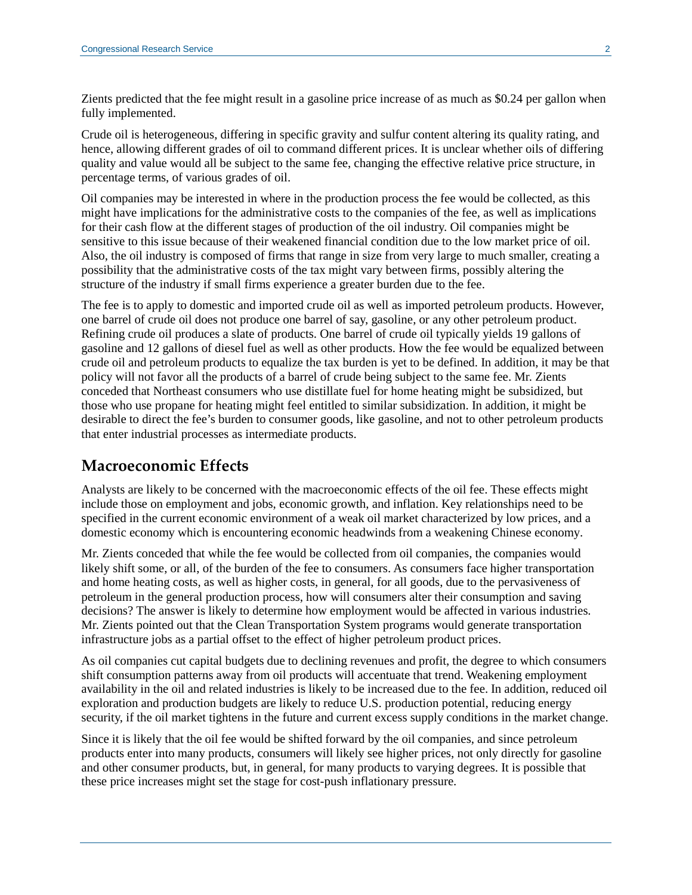Zients predicted that the fee might result in a gasoline price increase of as much as \$0.24 per gallon when fully implemented.

Crude oil is heterogeneous, differing in specific gravity and sulfur content altering its quality rating, and hence, allowing different grades of oil to command different prices. It is unclear whether oils of differing quality and value would all be subject to the same fee, changing the effective relative price structure, in percentage terms, of various grades of oil.

Oil companies may be interested in where in the production process the fee would be collected, as this might have implications for the administrative costs to the companies of the fee, as well as implications for their cash flow at the different stages of production of the oil industry. Oil companies might be sensitive to this issue because of their weakened financial condition due to the low market price of oil. Also, the oil industry is composed of firms that range in size from very large to much smaller, creating a possibility that the administrative costs of the tax might vary between firms, possibly altering the structure of the industry if small firms experience a greater burden due to the fee.

The fee is to apply to domestic and imported crude oil as well as imported petroleum products. However, one barrel of crude oil does not produce one barrel of say, gasoline, or any other petroleum product. Refining crude oil produces a slate of products. One barrel of crude oil typically yields 19 gallons of gasoline and 12 gallons of diesel fuel as well as other products. How the fee would be equalized between crude oil and petroleum products to equalize the tax burden is yet to be defined. In addition, it may be that policy will not favor all the products of a barrel of crude being subject to the same fee. Mr. Zients conceded that Northeast consumers who use distillate fuel for home heating might be subsidized, but those who use propane for heating might feel entitled to similar subsidization. In addition, it might be desirable to direct the fee's burden to consumer goods, like gasoline, and not to other petroleum products that enter industrial processes as intermediate products.

## **Macroeconomic Effects**

Analysts are likely to be concerned with the macroeconomic effects of the oil fee. These effects might include those on employment and jobs, economic growth, and inflation. Key relationships need to be specified in the current economic environment of a weak oil market characterized by low prices, and a domestic economy which is encountering economic headwinds from a weakening Chinese economy.

Mr. Zients conceded that while the fee would be collected from oil companies, the companies would likely shift some, or all, of the burden of the fee to consumers. As consumers face higher transportation and home heating costs, as well as higher costs, in general, for all goods, due to the pervasiveness of petroleum in the general production process, how will consumers alter their consumption and saving decisions? The answer is likely to determine how employment would be affected in various industries. Mr. Zients pointed out that the Clean Transportation System programs would generate transportation infrastructure jobs as a partial offset to the effect of higher petroleum product prices.

As oil companies cut capital budgets due to declining revenues and profit, the degree to which consumers shift consumption patterns away from oil products will accentuate that trend. Weakening employment availability in the oil and related industries is likely to be increased due to the fee. In addition, reduced oil exploration and production budgets are likely to reduce U.S. production potential, reducing energy security, if the oil market tightens in the future and current excess supply conditions in the market change.

Since it is likely that the oil fee would be shifted forward by the oil companies, and since petroleum products enter into many products, consumers will likely see higher prices, not only directly for gasoline and other consumer products, but, in general, for many products to varying degrees. It is possible that these price increases might set the stage for cost-push inflationary pressure.